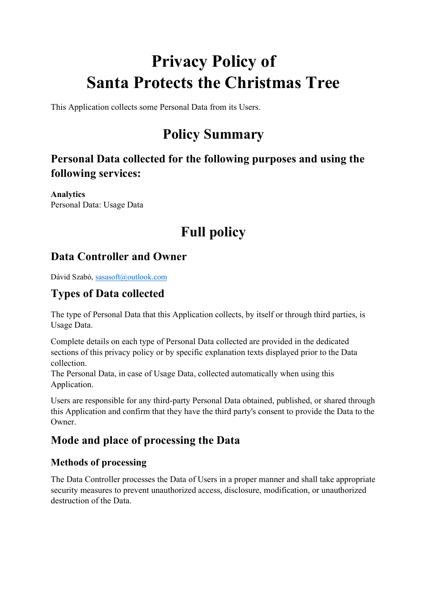# **Privacy Policy of Santa Protects the Christmas Tree**

This Application collects some Personal Data from its Users.

## **Policy Summary**

## **Personal Data collected for the following purposes and using the following services:**

**Analytics** Personal Data: Usage Data

## **Full policy**

## **Data Controller and Owner**

Dávid Szabó, [sasasoft@outlook.com](mailto:sasasoft@outlook.com)

## **Types of Data collected**

The type of Personal Data that this Application collects, by itself or through third parties, is Usage Data.

Complete details on each type of Personal Data collected are provided in the dedicated sections of this privacy policy or by specific explanation texts displayed prior to the Data collection.

The Personal Data, in case of Usage Data, collected automatically when using this Application.

Users are responsible for any third-party Personal Data obtained, published, or shared through this Application and confirm that they have the third party's consent to provide the Data to the Owner.

## **Mode and place of processing the Data**

### **Methods of processing**

The Data Controller processes the Data of Users in a proper manner and shall take appropriate security measures to prevent unauthorized access, disclosure, modification, or unauthorized destruction of the Data.